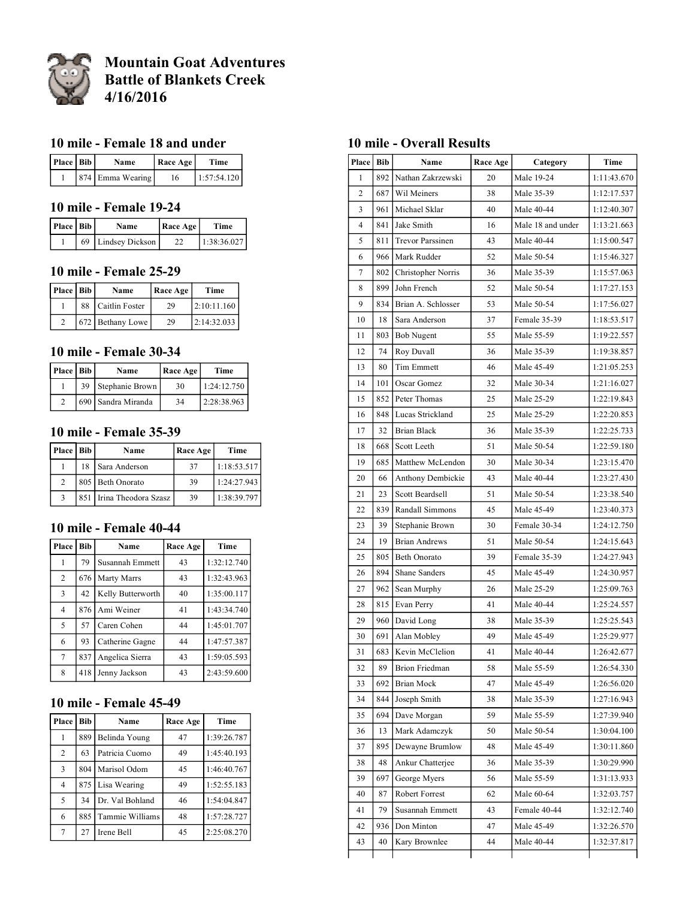

# **Mountain Goat Adventures Battle of Blankets Creek 4/16/2016**

#### **10 mile - Female 18 and under**

| Place   Bib | <b>Name</b>      | Race Age | Time        |
|-------------|------------------|----------|-------------|
|             | 874 Emma Wearing | 16       | 1:57:54.120 |

#### **10 mile - Female 19-24**

| Place   Bib | Name               | Race Age | Time        |
|-------------|--------------------|----------|-------------|
|             | 69 Lindsey Dickson |          | 1:38:36.027 |

#### **10 mile - Female 25-29**

| Place   Bib | Name              | Race Age | Time        |
|-------------|-------------------|----------|-------------|
|             | 88 Caitlin Foster | 29       | 2:10:11.160 |
| 2           | 672 Bethany Lowe  | 29       | 2:14:32.033 |

#### **10 mile - Female 30-34**

| Place   Bib |    | Name               | Race Age | Time         |
|-------------|----|--------------------|----------|--------------|
|             | 39 | Stephanie Brown    | 30       | 1:24:12.750  |
|             |    | 690 Sandra Miranda | 34       | 12:28:38.963 |

### **10 mile - Female 35-39**

| Place   Bib    |    | Name                     | Race Age | Time        |
|----------------|----|--------------------------|----------|-------------|
|                | 18 | Sara Anderson            | 37       | 1:18:53.517 |
| $\mathfrak{D}$ |    | 805 Beth Onorato         | 39       | 1:24:27.943 |
| $\mathbf{3}$   |    | 851 Irina Theodora Szasz | 39       | 1:38:39.797 |

#### **10 mile - Female 40-44**

| Place          | Bib | Name              | Race Age | Time        |
|----------------|-----|-------------------|----------|-------------|
| 1              | 79  | Susannah Emmett   | 43       | 1:32:12.740 |
| 2              | 676 | Marty Marrs       | 43       | 1:32:43.963 |
| $\overline{3}$ | 42  | Kelly Butterworth | 40       | 1:35:00.117 |
| $\overline{4}$ | 876 | Ami Weiner        | 41       | 1:43:34.740 |
| 5              | 57  | Caren Cohen       | 44       | 1:45:01.707 |
| 6              | 93  | Catherine Gagne   | 44       | 1:47:57.387 |
| 7              | 837 | Angelica Sierra   | 43       | 1:59:05.593 |
| 8              | 418 | Jenny Jackson     | 43       | 2:43:59.600 |

### **10 mile - Female 45-49**

| Place          | Bib | Name            | Race Age | Time        |
|----------------|-----|-----------------|----------|-------------|
|                | 889 | Belinda Young   | 47       | 1:39:26.787 |
| 2              | 63  | Patricia Cuomo  | 49       | 1:45:40.193 |
| $\overline{3}$ | 804 | Marisol Odom    | 45       | 1:46:40.767 |
| $\overline{4}$ | 875 | Lisa Wearing    | 49       | 1:52:55.183 |
| 5              | 34  | Dr. Val Bohland | 46       | 1:54:04.847 |
| 6              | 885 | Tammie Williams | 48       | 1:57:28.727 |
| 7              | 27  | Irene Bell      | 45       | 2:25:08.270 |

### **10 mile - Overall Results**

| Place   Bib    |     | Name                 | Race Age | Category          | Time        |
|----------------|-----|----------------------|----------|-------------------|-------------|
| 1              | 892 | Nathan Zakrzewski    | 20       | Male 19-24        | 1:11:43.670 |
| $\overline{c}$ | 687 | Wil Meiners          | 38       | Male 35-39        | 1:12:17.537 |
| 3              | 961 | Michael Sklar        | 40       | Male 40-44        | 1:12:40.307 |
| $\overline{4}$ | 841 | Jake Smith           | 16       | Male 18 and under | 1:13:21.663 |
| 5              | 811 | Trevor Parssinen     | 43       | Male 40-44        | 1:15:00.547 |
| 6              | 966 | Mark Rudder          | 52       | Male 50-54        | 1:15:46.327 |
| 7              | 802 | Christopher Norris   | 36       | Male 35-39        | 1:15:57.063 |
| 8              | 899 | John French          | 52       | Male 50-54        | 1:17:27.153 |
| 9              | 834 | Brian A. Schlosser   | 53       | Male 50-54        | 1:17:56.027 |
| 10             | 18  | Sara Anderson        | 37       | Female 35-39      | 1:18:53.517 |
| 11             | 803 | <b>Bob Nugent</b>    | 55       | Male 55-59        | 1:19:22.557 |
| 12             | 74  | Roy Duvall           | 36       | Male 35-39        | 1:19:38.857 |
| 13             | 80  | Tim Emmett           | 46       | Male 45-49        | 1:21:05.253 |
| 14             | 101 | Oscar Gomez          | 32       | Male 30-34        | 1:21:16.027 |
| 15             | 852 | Peter Thomas         | 25       | Male 25-29        | 1:22:19.843 |
| 16             | 848 | Lucas Strickland     | 25       | Male 25-29        | 1:22:20.853 |
| 17             | 32  | <b>Brian Black</b>   | 36       | Male 35-39        | 1:22:25.733 |
| 18             | 668 | Scott Leeth          | 51       | Male 50-54        | 1:22:59.180 |
| 19             | 685 | Matthew McLendon     | 30       | Male 30-34        | 1:23:15.470 |
| 20             | 66  | Anthony Dembickie    | 43       | Male 40-44        | 1:23:27.430 |
| 21             | 23  | Scott Beardsell      | 51       | Male 50-54        | 1:23:38.540 |
| 22             | 839 | Randall Simmons      | 45       | Male 45-49        | 1:23:40.373 |
| 23             | 39  | Stephanie Brown      | 30       | Female 30-34      | 1:24:12.750 |
| 24             | 19  | <b>Brian Andrews</b> | 51       | Male 50-54        | 1:24:15.643 |
| 25             | 805 | <b>Beth Onorato</b>  | 39       | Female 35-39      | 1:24:27.943 |
| 26             | 894 | Shane Sanders        | 45       | Male 45-49        | 1:24:30.957 |
| 27             | 962 | Sean Murphy          | 26       | Male 25-29        | 1:25:09.763 |
| 28             | 815 | Evan Perry           | 41       | Male 40-44        | 1:25:24.557 |
| 29             | 960 | David Long           | 38       | Male 35-39        | 1:25:25.543 |
| 30             | 691 | Alan Mobley          | 49       | Male 45-49        | 1:25:29.977 |
| 31             | 683 | Kevin McClelion      | 41       | Male 40-44        | 1:26:42.677 |
| 32             | 89  | Brion Friedman       | 58       | Male 55-59        | 1:26:54.330 |
| 33             | 692 | Brian Mock           | 47       | Male 45-49        | 1:26:56.020 |
| 34             | 844 | Joseph Smith         | 38       | Male 35-39        | 1:27:16.943 |
| 35             | 694 | Dave Morgan          | 59       | Male 55-59        | 1:27:39.940 |
| 36             | 13  | Mark Adamczyk        | 50       | Male 50-54        | 1:30:04.100 |
| 37             | 895 | Dewayne Brumlow      | 48       | Male 45-49        | 1:30:11.860 |
| 38             | 48  | Ankur Chatterjee     | 36       | Male 35-39        | 1:30:29.990 |
| 39             | 697 | George Myers         | 56       | Male 55-59        | 1:31:13.933 |
| 40             | 87  | Robert Forrest       | 62       | Male 60-64        | 1:32:03.757 |
| 41             | 79  | Susannah Emmett      | 43       | Female 40-44      | 1:32:12.740 |
| 42             | 936 | Don Minton           | 47       | Male 45-49        | 1:32:26.570 |
| 43             | 40  | Kary Brownlee        | 44       | Male 40-44        | 1:32:37.817 |
|                |     |                      |          |                   |             |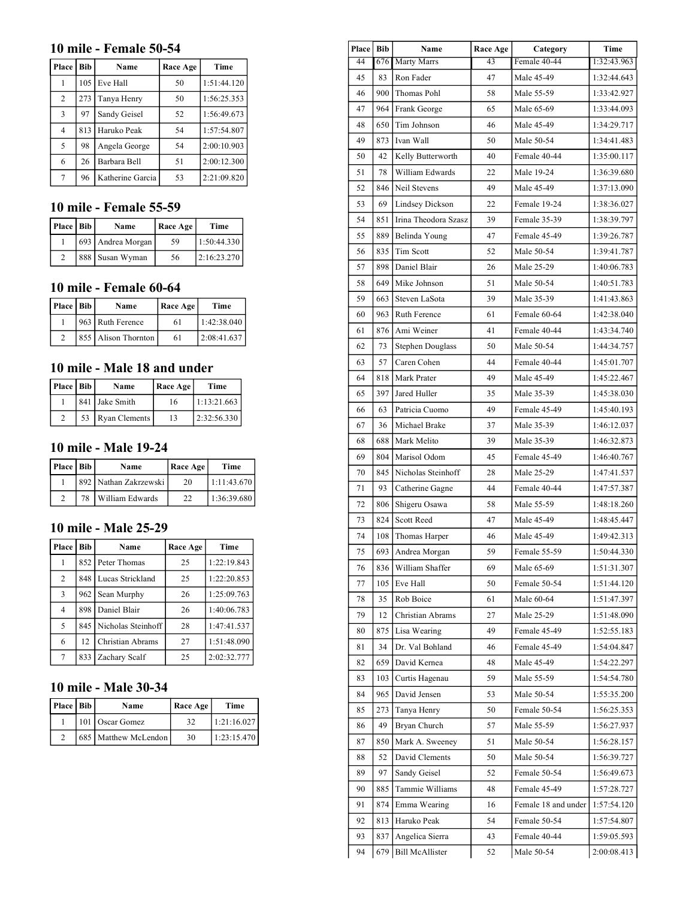### **10 mile - Female 50-54**

| Place | Bib | Name             | Race Age | Time        |
|-------|-----|------------------|----------|-------------|
|       | 105 | Eve Hall         | 50       | 1:51:44.120 |
| 2     | 273 | Tanya Henry      | 50       | 1:56:25.353 |
| 3     | 97  | Sandy Geisel     | 52       | 1:56:49.673 |
| 4     | 813 | Haruko Peak      | 54       | 1:57:54.807 |
| 5     | 98  | Angela George    | 54       | 2:00:10.903 |
| 6     | 26  | Barbara Bell     | 51       | 2:00:12.300 |
|       | 96  | Katherine Garcia | 53       | 2:21:09.820 |

## **10 mile - Female 55-59**

| Place   Bib | Name              | Race Age | Time        |
|-------------|-------------------|----------|-------------|
|             | 693 Andrea Morgan | 59       | 1:50:44.330 |
|             | 888 Susan Wyman   | 56       | 2:16:23.270 |

## **10 mile - Female 60-64**

| Place   Bib | Name                | Race Age | Time        |
|-------------|---------------------|----------|-------------|
|             | 963 Ruth Ference    | 61       | 1:42:38.040 |
|             | 855 Alison Thornton | 61       | 2:08:41.637 |

## **10 mile - Male 18 and under**

| Place   Bib |    | Name           | Race Age | Time        |
|-------------|----|----------------|----------|-------------|
|             |    | 841 Jake Smith | 16       | 1:13:21.663 |
|             | 53 | Ryan Clements  | 13       | 2:32:56.330 |

### **10 mile - Male 19-24**

| Place   Bib |    | Name                  | Race Age | Time        |
|-------------|----|-----------------------|----------|-------------|
|             |    | 892 Nathan Zakrzewski | 20       | 1:11:43.670 |
|             | 78 | William Edwards       | フフ       | 1:36:39.680 |

### **10 mile - Male 25-29**

| Place          | Bib | Name                   | Race Age | Time        |
|----------------|-----|------------------------|----------|-------------|
|                |     | 852 Peter Thomas       | 25       | 1:22:19.843 |
| $\overline{2}$ |     | 848 Lucas Strickland   | 25       | 1:22:20.853 |
| 3              | 962 | Sean Murphy            | 26       | 1:25:09.763 |
| 4              | 898 | Daniel Blair           | 26       | 1:40:06.783 |
| 5              |     | 845 Nicholas Steinhoff | 28       | 1:47:41.537 |
| 6              | 12. | Christian Abrams       | 27       | 1:51:48.090 |
| 7              | 833 | Zachary Scalf          | 25       | 2:02:32.777 |

### **10 mile - Male 30-34**

| Place   Bib | Name                 | Race Age | Time        |
|-------------|----------------------|----------|-------------|
|             | 101 Oscar Gomez      | 32       | 1:21:16.027 |
|             | 685 Matthew McLendon | 30       | 1:23:15.470 |

| <b>Place</b>    | Bib                | Race Age<br>Name        |                 | Category            | Time        |
|-----------------|--------------------|-------------------------|-----------------|---------------------|-------------|
| $\overline{44}$ | 676 l              | Marty Marrs             | $\overline{43}$ | Female 40-44        | 1:32:43.963 |
| 45              | 83                 | Ron Fader               | 47              | Male 45-49          | 1:32:44.643 |
| 46              | 900                | Thomas Pohl             | 58              | Male 55-59          | 1:33:42.927 |
| 47              | 964                | Frank George            | 65              | Male 65-69          | 1:33:44.093 |
| 48              | 650                | Tim Johnson             | 46              | Male 45-49          | 1:34:29.717 |
| 49              | 873                | Ivan Wall               | 50              | Male 50-54          | 1:34:41.483 |
| 50              | 42                 | Kelly Butterworth       | 40              | Female 40-44        | 1:35:00.117 |
| 51              | 78                 | William Edwards         | 22              | Male 19-24          | 1:36:39.680 |
| 52              | 846                | Neil Stevens            | 49              | Male 45-49          | 1:37:13.090 |
| 53              | 69                 | <b>Lindsey Dickson</b>  | 22              | Female 19-24        | 1:38:36.027 |
| 54              | 851                | Irina Theodora Szasz    | 39              | Female 35-39        | 1:38:39.797 |
| 55              | 889                | Belinda Young           | 47              | Female 45-49        | 1:39:26.787 |
| 56              | 835                | Tim Scott               | 52              | Male 50-54          | 1:39:41.787 |
| 57              | 898                | Daniel Blair            | 26              | Male 25-29          | 1:40:06.783 |
| 58              | 649                | Mike Johnson            | 51              | Male 50-54          | 1:40:51.783 |
| 59              | 663                | Steven LaSota           | 39              | Male 35-39          | 1:41:43.863 |
| 60              | 963                | Ruth Ference            | 61              | Female 60-64        | 1:42:38.040 |
| 61              | 876                | Ami Weiner              | 41              | Female 40-44        | 1:43:34.740 |
| 62              | 73                 | <b>Stephen Douglass</b> | 50              | Male 50-54          | 1:44:34.757 |
| 63              | 57                 | Caren Cohen             | 44              | Female 40-44        | 1:45:01.707 |
| 64              | 818<br>Mark Prater |                         | 49              | Male 45-49          | 1:45:22.467 |
| 65              | 397                | Jared Huller            | 35              | Male 35-39          | 1:45:38.030 |
| 66              | 63                 | Patricia Cuomo          | 49              | Female 45-49        | 1:45:40.193 |
| 67              | 36                 | Michael Brake           | 37              | Male 35-39          | 1:46:12.037 |
| 68              | 688                | Mark Melito             | 39              | Male 35-39          | 1:46:32.873 |
| 69              | 804                | Marisol Odom            | 45              | Female 45-49        | 1:46:40.767 |
| 70              | 845                | Nicholas Steinhoff      | 28              | Male 25-29          | 1:47:41.537 |
| 71              | 93                 | Catherine Gagne         | 44              | Female 40-44        | 1:47:57.387 |
| 72              | 806                | Shigeru Osawa           | 58              | Male 55-59          | 1:48:18.260 |
| 73              | 824                | Scott Reed              | 47              | Male 45-49          | 1:48:45.447 |
| 74              | 108                | Thomas Harper           | 46              | Male 45-49          | 1:49:42.313 |
| 75              | 693                | Andrea Morgan           | 59              | Female 55-59        | 1:50:44.330 |
| 76              | 836                | William Shaffer         | 69              | Male 65-69          | 1:51:31.307 |
| 77              | 105                | Eve Hall                | 50              | Female 50-54        | 1:51:44.120 |
| 78              | 35                 | Rob Boice               | 61              | Male 60-64          | 1:51:47.397 |
| 79              | 12                 | Christian Abrams        | 27              | Male 25-29          | 1:51:48.090 |
| 80              | 875                | Lisa Wearing            | 49              | Female 45-49        | 1:52:55.183 |
| 81              | 34                 | Dr. Val Bohland         | 46              | Female 45-49        | 1:54:04.847 |
| 82              | 659                | David Kernea            | 48              | Male 45-49          | 1:54:22.297 |
| 83              | 103                | Curtis Hagenau          | 59              | Male 55-59          | 1:54:54.780 |
| 84              | 965                | David Jensen            | 53              | Male 50-54          | 1:55:35.200 |
| 85              | 273                | Tanya Henry             | 50              | Female 50-54        | 1:56:25.353 |
| 86              | 49                 | Bryan Church            | 57              | Male 55-59          | 1:56:27.937 |
| 87              | 850                | Mark A. Sweeney         | 51              | Male 50-54          | 1:56:28.157 |
| 88              | 52                 | David Clements          | 50              | Male 50-54          | 1:56:39.727 |
| 89              | 97                 | Sandy Geisel            | 52              | Female 50-54        | 1:56:49.673 |
| 90              | 885                | Tammie Williams         | 48              | Female 45-49        | 1:57:28.727 |
| 91              | 874                | Emma Wearing            | 16              | Female 18 and under | 1:57:54.120 |
| 92              | 813                | Haruko Peak             | 54              | Female 50-54        | 1:57:54.807 |
| 93              | 837                | Angelica Sierra         | 43              | Female 40-44        | 1:59:05.593 |
| 94              | 679                | <b>Bill McAllister</b>  | 52              | Male 50-54          | 2:00:08.413 |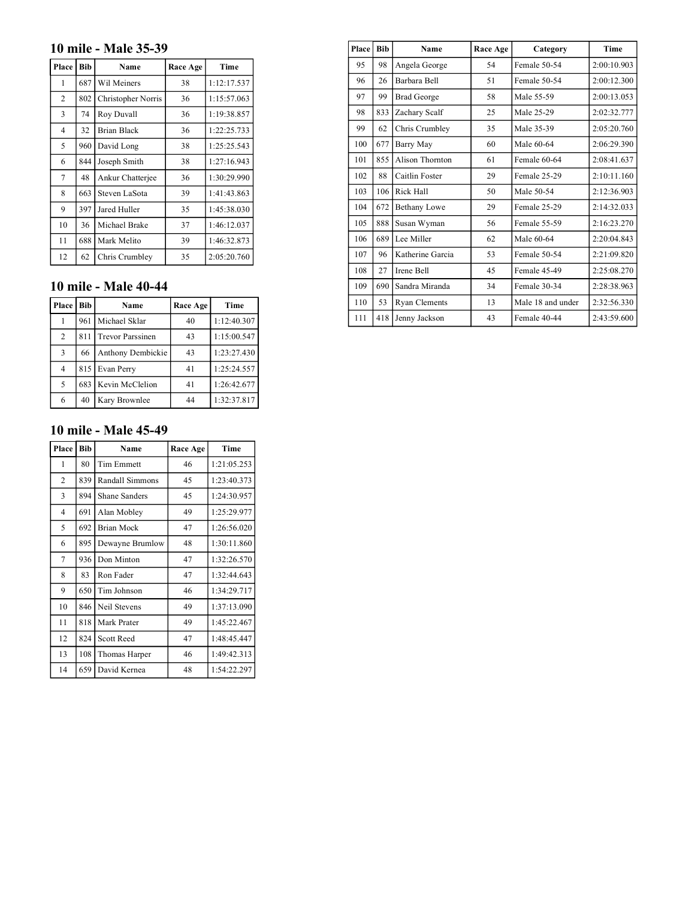## **10 mile - Male 35-39**

| Place          | <b>Bib</b> | Name               | Race Age | Time        |
|----------------|------------|--------------------|----------|-------------|
| 1              | 687        | Wil Meiners        | 38       | 1:12:17.537 |
| $\overline{2}$ | 802        | Christopher Norris | 36       | 1:15:57.063 |
| 3              | 74         | Roy Duvall         | 36       | 1:19:38.857 |
| $\overline{4}$ | 32         | <b>Brian Black</b> | 36       | 1:22:25.733 |
| 5              | 960        | David Long         | 38       | 1:25:25.543 |
| 6              | 844        | Joseph Smith       | 38       | 1:27:16.943 |
| 7              | 48         | Ankur Chatterjee   | 36       | 1:30:29.990 |
| 8              | 663        | Steven LaSota      | 39       | 1:41:43.863 |
| 9              | 397        | Jared Huller       | 35       | 1:45:38.030 |
| 10             | 36         | Michael Brake      | 37       | 1:46:12.037 |
| 11             | 688        | Mark Melito        | 39       | 1:46:32.873 |
| 12             | 62         | Chris Crumbley     | 35       | 2:05:20.760 |

### **10 mile - Male 40-44**

| Place | <b>Bib</b> | Name                    | Race Age | Time        |
|-------|------------|-------------------------|----------|-------------|
|       | 961        | Michael Sklar           | 40       | 1:12:40.307 |
| 2     | 811        | <b>Trevor Parssinen</b> | 43       | 1:15:00.547 |
| 3     | 66         | Anthony Dembickie       | 43       | 1:23:27.430 |
| 4     |            | 815 Evan Perry          | 41       | 1:25:24.557 |
| 5     | 683        | Kevin McClelion         | 41       | 1:26:42.677 |
| 6     | 40         | Kary Brownlee           | 44       | 1:32:37.817 |

#### **10 mile - Male 45-49**

| Place          | <b>Bib</b> | Name              | Race Age | Time        |
|----------------|------------|-------------------|----------|-------------|
| 1              | 80         | <b>Tim Emmett</b> | 46       | 1:21:05.253 |
| $\overline{2}$ | 839        | Randall Simmons   | 45       | 1:23:40.373 |
| 3              | 894        | Shane Sanders     | 45       | 1:24:30.957 |
| $\overline{4}$ | 691        | Alan Mobley       | 49       | 1:25:29.977 |
| 5              | 692        | <b>Brian Mock</b> | 47       | 1:26:56.020 |
| 6              | 895        | Dewayne Brumlow   | 48       | 1:30:11.860 |
| 7              | 936        | Don Minton        | 47       | 1:32:26.570 |
| 8              | 83         | Ron Fader         | 47       | 1:32:44.643 |
| 9              | 650        | Tim Johnson       | 46       | 1:34:29.717 |
| 10             | 846        | Neil Stevens      | 49       | 1:37:13.090 |
| 11             | 818        | Mark Prater       | 49       | 1:45:22.467 |
| 12             | 824        | <b>Scott Reed</b> | 47       | 1:48:45.447 |
| 13             | 108        | Thomas Harper     | 46       | 1:49:42.313 |
| 14             | 659        | David Kernea      | 48       | 1:54:22.297 |

| Place | <b>Bib</b> | Name                | Race Age | Category          | Time        |
|-------|------------|---------------------|----------|-------------------|-------------|
| 95    | 98         | Angela George       | 54       | Female 50-54      | 2:00:10.903 |
| 96    | 26         | Barbara Bell        | 51       | Female 50-54      | 2:00:12.300 |
| 97    | 99         | <b>Brad George</b>  | 58       | Male 55-59        | 2:00:13.053 |
| 98    | 833        | Zachary Scalf       | 25       | Male 25-29        | 2:02:32.777 |
| 99    | 62         | Chris Crumbley      | 35       | Male 35-39        | 2:05:20.760 |
| 100   | 677        | Barry May           | 60       | Male 60-64        | 2:06:29.390 |
| 101   | 855        | Alison Thornton     | 61       | Female 60-64      | 2:08:41.637 |
| 102   | 88         | Caitlin Foster      | 29       | Female 25-29      | 2:10:11.160 |
| 103   | 106        | Rick Hall           | 50       | Male 50-54        | 2:12:36.903 |
| 104   | 672        | <b>Bethany Lowe</b> | 29       | Female 25-29      | 2:14:32.033 |
| 105   | 888        | Susan Wyman         | 56       | Female 55-59      | 2:16:23.270 |
| 106   | 689        | Lee Miller          | 62       | Male 60-64        | 2:20:04.843 |
| 107   | 96         | Katherine Garcia    | 53       | Female 50-54      | 2:21:09.820 |
| 108   | 27         | Irene Bell          | 45       | Female 45-49      | 2:25:08.270 |
| 109   | 690        | Sandra Miranda      | 34       | Female 30-34      | 2:28:38.963 |
| 110   | 53         | Ryan Clements       | 13       | Male 18 and under | 2:32:56.330 |
| 111   | 418        | Jenny Jackson       | 43       | Female 40-44      | 2:43:59.600 |